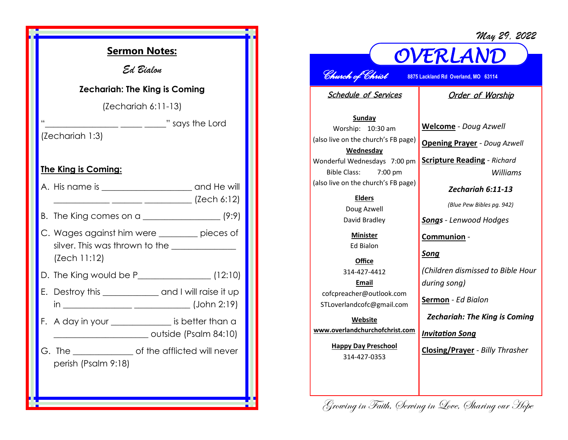*May 29, 2022*



## *OVERLAND Church of Christ* **8875 Lackland Rd Overland, MO 63114**

Schedule of Services

## Order of Worship

**Sunday** Worship: 10:30 am (also live on the church's FB page) **Wednesday** Wonderful Wednesdays 7:00 pm Bible Class: 7:00 pm (also live on the church's FB page)

> **Elders** Doug Azwell David Bradley

**Minister** Ed Bialon

**Office** 314-427-4412 **Email** cofcpreacher@outlook.com STLoverlandcofc@gmail.com

**Website www.overlandchurchofchrist.com**

> **Happy Day Preschool** 314-427-0353

**Welcome** *- Doug Azwell* **Opening Prayer** *- Doug Azwell* **Scripture Reading** *- Richard Williams Zechariah 6:11-13*

*(Blue Pew Bibles pg. 942)*

*Songs - Lenwood Hodges*

**Communion** *-*

*Song*

*(Children dismissed to Bible Hour during song)*

**Sermon** *- Ed Bialon* 

*Zechariah: The King is Coming*

*Invitation Song*

Growing in Faith, Serving in Love, Sharing our Hope

**Closing/Prayer** *- Billy Thrasher*